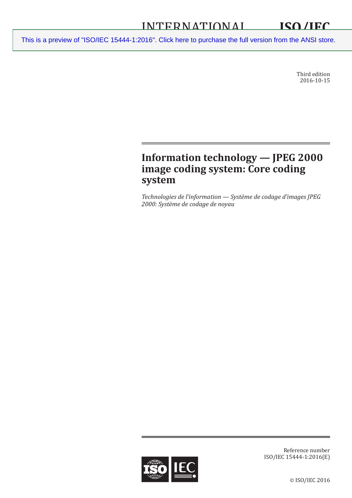[This is a preview of "ISO/IEC 15444-1:2016". Click here to purchase the full version from the ANSI store.](https://webstore.ansi.org/Standards/ISO/ISOIEC154442016?source=preview)<br>
<u>15444-1:2016</u><br>
2016. Click here to purchase the full version from the ANSI store.

Third edition 2016-10-15

# **Information technology — JPEG 2000 image coding system: Core coding system**

*Technologies de l'information — Système de codage d'images JPEG 2000: Système de codage de noyau*



Reference number ISO/IEC 15444-1:2016(E)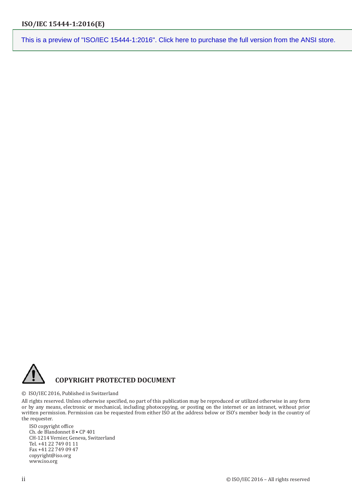

#### © ISO/IEC 2016, Published in Switzerland

All rights reserved. Unless otherwise specified, no part of this publication may be reproduced or utilized otherwise in any form or by any means, electronic or mechanical, including photocopying, or posting on the internet or an intranet, without prior written permission. Permission can be requested from either ISO at the address below or ISO's member body in the country of the requester.

ISO copyright office Ch. de Blandonnet 8 • CP 401 CH-1214 Vernier, Geneva, Switzerland Tel. +41 22 749 01 11 Fax +41 22 749 09 47 copyright@iso.org www.iso.org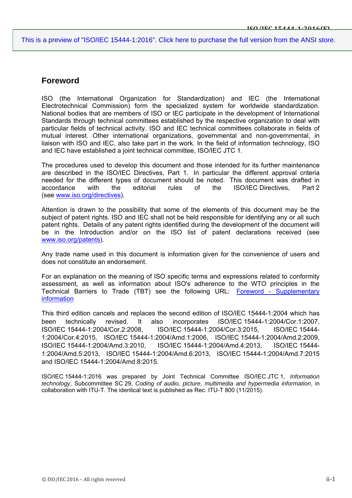## **Foreword**

ISO (the International Organization for Standardization) and IEC (the International Electrotechnical Commission) form the specialized system for worldwide standardization. National bodies that are members of ISO or IEC participate in the development of International Standards through technical committees established by the respective organization to deal with particular fields of technical activity. ISO and IEC technical committees collaborate in fields of mutual interest. Other international organizations, governmental and non-governmental, in liaison with ISO and IEC, also take part in the work. In the field of information technology, ISO and IEC have established a joint technical committee, ISO/IEC JTC 1.

The procedures used to develop this document and those intended for its further maintenance are described in the ISO/IEC Directives, Part 1. In particular the different approval criteria needed for the different types of document should be noted. This document was drafted in accordance with the editorial rules of the ISO/IEC Directives, Part 2 (see www.iso.org/directives).

Attention is drawn to the possibility that some of the elements of this document may be the subject of patent rights. ISO and IEC shall not be held responsible for identifying any or all such patent rights. Details of any patent rights identified during the development of the document will be in the Introduction and/or on the ISO list of patent declarations received (see www.iso.org/patents).

Any trade name used in this document is information given for the convenience of users and does not constitute an endorsement.

For an explanation on the meaning of ISO specific terms and expressions related to conformity assessment, as well as information about ISO's adherence to the WTO principles in the Technical Barriers to Trade (TBT) see the following URL: Foreword - Supplementary information

This third edition cancels and replaces the second edition of ISO/IEC 15444-1:2004 which has been technically revised. It also incorporates ISO/IEC 15444-1:2004/Cor.1:2007, ISO/IEC 15444-1:2004/Cor.2:2008, ISO/IEC 15444-1:2004/Cor.3:2015, ISO/IEC 15444- 1:2004/Cor.4:2015, ISO/IEC 15444-1:2004/Amd.1:2006, ISO/IEC 15444-1:2004/Amd.2:2009, ISO/IEC 15444-1:2004/Amd.3:2010, ISO/IEC 15444-1:2004/Amd.4:2013, ISO/IEC 15444- 1:2004/Amd.5:2013, ISO/IEC 15444-1:2004/Amd.6:2013, ISO/IEC 15444-1:2004/Amd.7:2015 and ISO/IEC 15444-1:2004/Amd.8:2015.

ISO/IEC 15444-1:2016 was prepared by Joint Technical Committee ISO/IEC JTC 1, *Information technology*, Subcommittee SC 29, *Coding of audio, picture, multimedia and hypermedia information*, in collaboration with ITU-T. The identical text is published as Rec. ITU-T 800 (11/2015).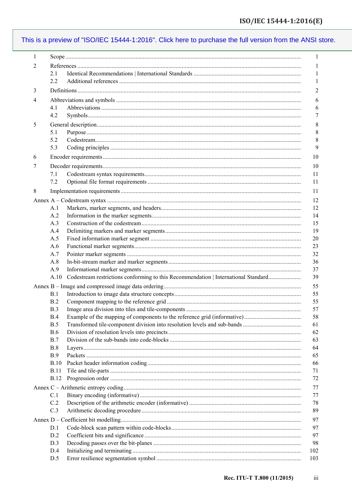| 1 |             |                                                                                    | 1              |  |  |
|---|-------------|------------------------------------------------------------------------------------|----------------|--|--|
| 2 |             |                                                                                    |                |  |  |
|   | 2.1         |                                                                                    | 1              |  |  |
|   | 2.2         |                                                                                    | 1              |  |  |
| 3 |             |                                                                                    | $\overline{c}$ |  |  |
| 4 |             |                                                                                    |                |  |  |
|   | 4.1         |                                                                                    | 6<br>6         |  |  |
|   | 4.2         |                                                                                    | 7              |  |  |
|   |             |                                                                                    |                |  |  |
| 5 |             |                                                                                    | 8              |  |  |
|   | 5.1         |                                                                                    | 8              |  |  |
|   | 5.2         | ${\bf Codes tree} and {\bf Codes tree} are a non-1.$                               | 8              |  |  |
|   | 5.3         |                                                                                    | 9              |  |  |
| 6 |             |                                                                                    | 10             |  |  |
| 7 |             |                                                                                    | 10             |  |  |
|   | 7.1         |                                                                                    | 11             |  |  |
|   | 7.2         |                                                                                    | 11             |  |  |
| 8 |             |                                                                                    | 11             |  |  |
|   |             |                                                                                    | 12             |  |  |
|   | A.1         |                                                                                    | 12             |  |  |
|   | A.2         |                                                                                    | 14             |  |  |
|   | A.3         |                                                                                    | 15             |  |  |
|   | A.4         |                                                                                    | 19             |  |  |
|   | A.5         |                                                                                    | 20             |  |  |
|   | A.6         |                                                                                    | 23             |  |  |
|   | A.7         |                                                                                    | 32             |  |  |
|   | A.8         |                                                                                    | 36             |  |  |
|   | A.9         |                                                                                    | 37             |  |  |
|   | A.10        | Codestream restrictions conforming to this Recommendation   International Standard | 39             |  |  |
|   |             |                                                                                    | 55             |  |  |
|   | B.1         |                                                                                    | 55             |  |  |
|   | <b>B.2</b>  |                                                                                    | 55             |  |  |
|   | B.3         |                                                                                    | 57             |  |  |
|   | <b>B.4</b>  | Example of the mapping of components to the reference grid (informative)           | 58             |  |  |
|   | B.5         |                                                                                    | 61             |  |  |
|   | <b>B.6</b>  |                                                                                    | 62             |  |  |
|   | <b>B.7</b>  |                                                                                    | 63             |  |  |
|   | <b>B.8</b>  |                                                                                    | 64             |  |  |
|   | <b>B.9</b>  |                                                                                    | 65             |  |  |
|   | <b>B.10</b> |                                                                                    | 66             |  |  |
|   | <b>B.11</b> |                                                                                    | 71             |  |  |
|   | <b>B.12</b> |                                                                                    | 72             |  |  |
|   |             |                                                                                    | 77             |  |  |
|   | C.1         |                                                                                    | 77             |  |  |
|   | C.2         |                                                                                    | 78             |  |  |
|   | C.3         |                                                                                    | 89             |  |  |
|   |             |                                                                                    |                |  |  |
|   |             |                                                                                    | 97             |  |  |
|   | D.1         |                                                                                    | 97             |  |  |
|   | D.2         |                                                                                    | 97             |  |  |
|   | D.3         |                                                                                    | 98             |  |  |
|   | D.4         |                                                                                    | 102            |  |  |
|   | D.5         |                                                                                    | 103            |  |  |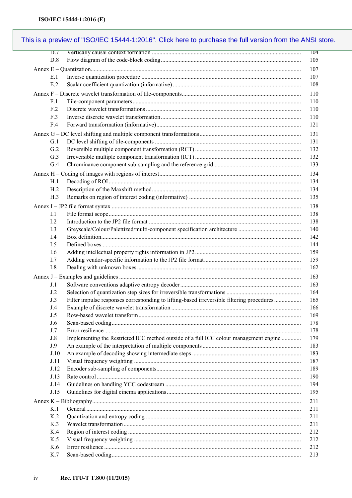| $\overline{D}$ . T |                                                                                           | <b>T04</b> |
|--------------------|-------------------------------------------------------------------------------------------|------------|
| D.8                |                                                                                           | 105        |
|                    |                                                                                           | 107        |
| E.1                |                                                                                           | 107        |
| E.2                |                                                                                           | 108        |
|                    |                                                                                           | 110        |
| F.1                |                                                                                           | 110        |
| F.2                |                                                                                           | 110        |
| F.3                |                                                                                           | 110        |
| F.4                |                                                                                           | 121        |
|                    |                                                                                           |            |
| G.1                |                                                                                           | 131<br>131 |
| G.2                |                                                                                           | 132        |
| G.3                |                                                                                           | 132        |
| G.4                |                                                                                           | 133        |
|                    |                                                                                           |            |
|                    |                                                                                           | 134        |
| H.1                |                                                                                           | 134        |
| H <sub>.2</sub>    |                                                                                           | 134        |
| H.3                |                                                                                           | 135        |
|                    |                                                                                           | 138        |
| I.1                |                                                                                           | 138        |
| 1.2                |                                                                                           | 138        |
| I.3                |                                                                                           | 140        |
| I.4                |                                                                                           | 142        |
| I.5                |                                                                                           | 144        |
| I.6                |                                                                                           | 159        |
| 1.7                |                                                                                           | 159        |
| I.8                |                                                                                           | 162        |
|                    |                                                                                           | 163        |
| J.1                |                                                                                           | 163        |
| J.2                |                                                                                           | 164        |
| J.3                | Filter impulse responses corresponding to lifting-based irreversible filtering procedures | 165        |
| J.4                |                                                                                           | 166        |
| J.5                |                                                                                           | 169        |
| J.6                |                                                                                           | 178        |
| J.7                |                                                                                           | 178        |
| J.8                | Implementing the Restricted ICC method outside of a full ICC colour management engine     | 179        |
| J.9                |                                                                                           | 183        |
| J.10               |                                                                                           | 183        |
| J.11               |                                                                                           | 187        |
| J.12               |                                                                                           | 189        |
| J.13               |                                                                                           | 190        |
| J.14               |                                                                                           | 194        |
| J.15               |                                                                                           | 195        |
|                    |                                                                                           | 211        |
| K <sub>1</sub>     |                                                                                           | 211        |
| K <sub>2</sub>     |                                                                                           | 211        |
| K.3                |                                                                                           | 211        |
| K.4                |                                                                                           | 212        |
| K.5                |                                                                                           | 212        |
| K.6                |                                                                                           | 212        |
| K.7                |                                                                                           | 213        |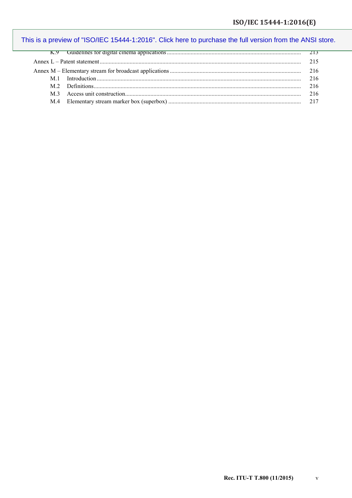|                |  | 216 |  |  |
|----------------|--|-----|--|--|
|                |  | 216 |  |  |
| M <sub>3</sub> |  | 216 |  |  |
| M.4            |  |     |  |  |